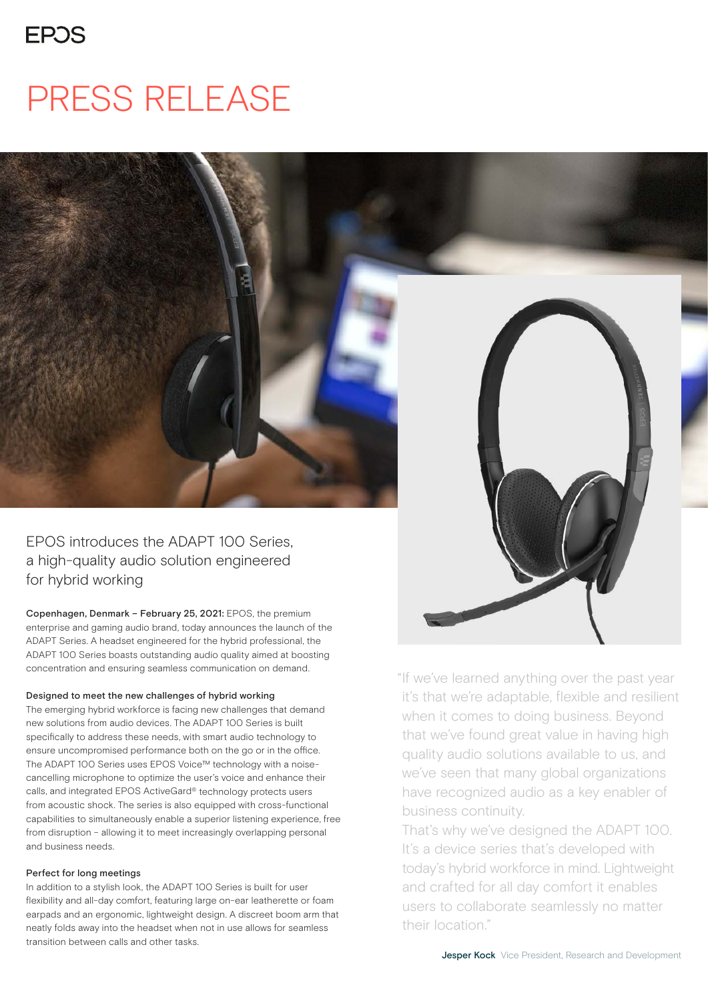### **FPOS**

# PRESS RELEASE



### EPOS introduces the ADAPT 100 Series, a high-quality audio solution engineered for hybrid working

Copenhagen, Denmark – February 25, 2021: EPOS, the premium enterprise and gaming audio brand, today announces the launch of the ADAPT Series. A headset engineered for the hybrid professional, the ADAPT 100 Series boasts outstanding audio quality aimed at boosting concentration and ensuring seamless communication on demand.

#### Designed to meet the new challenges of hybrid working

The emerging hybrid workforce is facing new challenges that demand new solutions from audio devices. The ADAPT 100 Series is built specifically to address these needs, with smart audio technology to ensure uncompromised performance both on the go or in the office. The ADAPT 100 Series uses EPOS Voice™ technology with a noisecancelling microphone to optimize the user's voice and enhance their calls, and integrated EPOS ActiveGard® technology protects users from acoustic shock. The series is also equipped with cross-functional capabilities to simultaneously enable a superior listening experience, free from disruption – allowing it to meet increasingly overlapping personal and business needs.

#### Perfect for long meetings

In addition to a stylish look, the ADAPT 100 Series is built for user flexibility and all-day comfort, featuring large on-ear leatherette or foam earpads and an ergonomic, lightweight design. A discreet boom arm that neatly folds away into the headset when not in use allows for seamless transition between calls and other tasks.

"If we've learned anything over the past year it's that we're adaptable, flexible and resilient when it comes to doing business. Beyond that we've found great value in having high quality audio solutions available to us, and we've seen that many global organizations have recognized audio as a key enabler of business continuity.

That's why we've designed the ADAPT 100. It's a device series that's developed with today's hybrid workforce in mind. Lightweight and crafted for all day comfort it enables users to collaborate seamlessly no matter their location."